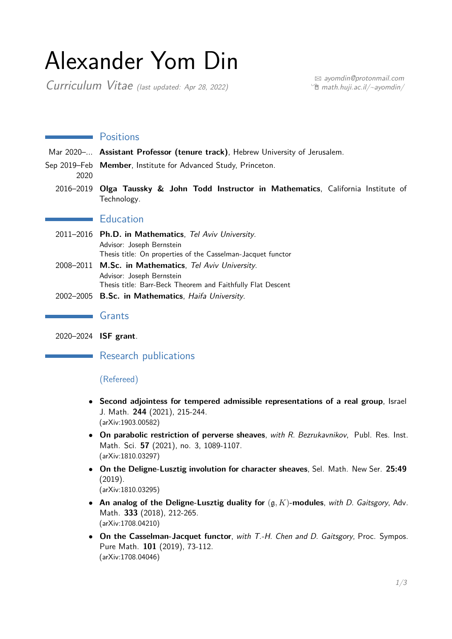# Alexander Yom Din

Curriculum Vitae (last updated: Apr 28, 2022)

B [ayomdin@protonmail.com](mailto:ayomdin@protonmail.com)  $\hat{E}$  [math.huji.ac.il/~ayomdin/](http://math.huji.ac.il/~ayomdin/)

# **Exercise Positions**

Mar 2020–*...* **Assistant Professor (tenure track)**, Hebrew University of Jerusalem.

Sep 2019–Feb **Member**, Institute for Advanced Study, Princeton.

- 2020
	- 2016–2019 **Olga Taussky & John Todd Instructor in Mathematics**, California Institute of Technology.

# **Education**

- 2011–2016 **Ph.D. in Mathematics**, Tel Aviv University. Advisor: Joseph Bernstein Thesis title: On properties of the Casselman-Jacquet functor
- 2008–2011 **M.Sc. in Mathematics**, Tel Aviv University. Advisor: Joseph Bernstein Thesis title: Barr-Beck Theorem and Faithfully Flat Descent
- 2002–2005 **B.Sc. in Mathematics**, Haifa University.

#### **Grants**

2020–2024 **ISF grant**.

Research publications

## (Refereed)

- **Second adjointess for tempered admissible representations of a real group**, Israel J. Math. **244** (2021), 215-244. (arXiv:1903.00582)
- **On parabolic restriction of perverse sheaves**, with R. Bezrukavnikov, Publ. Res. Inst. Math. Sci. **57** (2021), no. 3, 1089-1107. (arXiv:1810.03297)
- **On the Deligne-Lusztig involution for character sheaves**, Sel. Math. New Ser. **25:49** (2019). (arXiv:1810.03295)
- **An analog of the Deligne-Lusztig duality for** (g*, K*)**-modules**, with D. Gaitsgory, Adv. Math. **333** (2018), 212-265. (arXiv:1708.04210)
- **On the Casselman-Jacquet functor**, with T.-H. Chen and D. Gaitsgory, Proc. Sympos. Pure Math. **101** (2019), 73-112. (arXiv:1708.04046)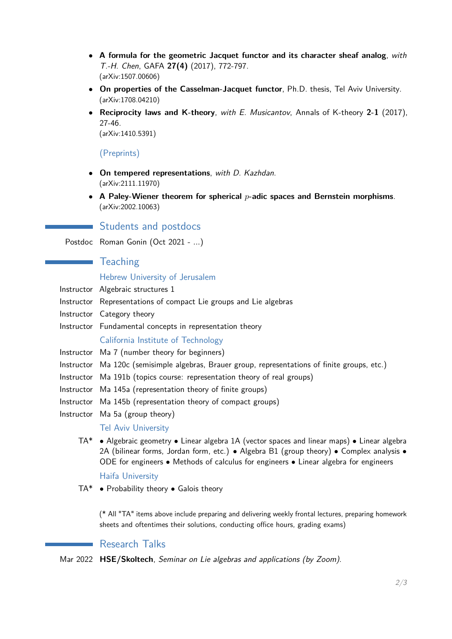- **A formula for the geometric Jacquet functor and its character sheaf analog**, with T.-H. Chen, GAFA **27(4)** (2017), 772-797. (arXiv:1507.00606)
- **On properties of the Casselman-Jacquet functor**, Ph.D. thesis, Tel Aviv University. (arXiv:1708.04210)
- **Reciprocity laws and K-theory**, with E. Musicantov, Annals of K-theory **2-1** (2017), 27-46.

(arXiv:1410.5391)

#### (Preprints)

- **On tempered representations**, with D. Kazhdan. (arXiv:2111.11970)
- **A Paley-Wiener theorem for spherical** *p***-adic spaces and Bernstein morphisms**. (arXiv:2002.10063)

#### **Students and postdocs**

Postdoc Roman Gonin (Oct 2021 - *...*)

# **Teaching**

#### Hebrew University of Jerusalem

- Instructor Algebraic structures 1
- Instructor Representations of compact Lie groups and Lie algebras
- Instructor Category theory
- Instructor Fundamental concepts in representation theory

#### California Institute of Technology

- Instructor Ma 7 (number theory for beginners)
- Instructor Ma 120c (semisimple algebras, Brauer group, representations of finite groups, etc.)
- Instructor Ma 191b (topics course: representation theory of real groups)
- Instructor Ma 145a (representation theory of finite groups)
- Instructor Ma 145b (representation theory of compact groups)
- Instructor Ma 5a (group theory)

#### Tel Aviv University

TA\* • Algebraic geometry • Linear algebra 1A (vector spaces and linear maps) • Linear algebra 2A (bilinear forms, Jordan form, etc.) • Algebra B1 (group theory) • Complex analysis • ODE for engineers • Methods of calculus for engineers • Linear algebra for engineers

#### Haifa University

TA\* • Probability theory • Galois theory

(\* All "TA" items above include preparing and delivering weekly frontal lectures, preparing homework sheets and oftentimes their solutions, conducting office hours, grading exams)

## Research Talks

Mar 2022 **HSE/Skoltech**, Seminar on Lie algebras and applications (by Zoom).